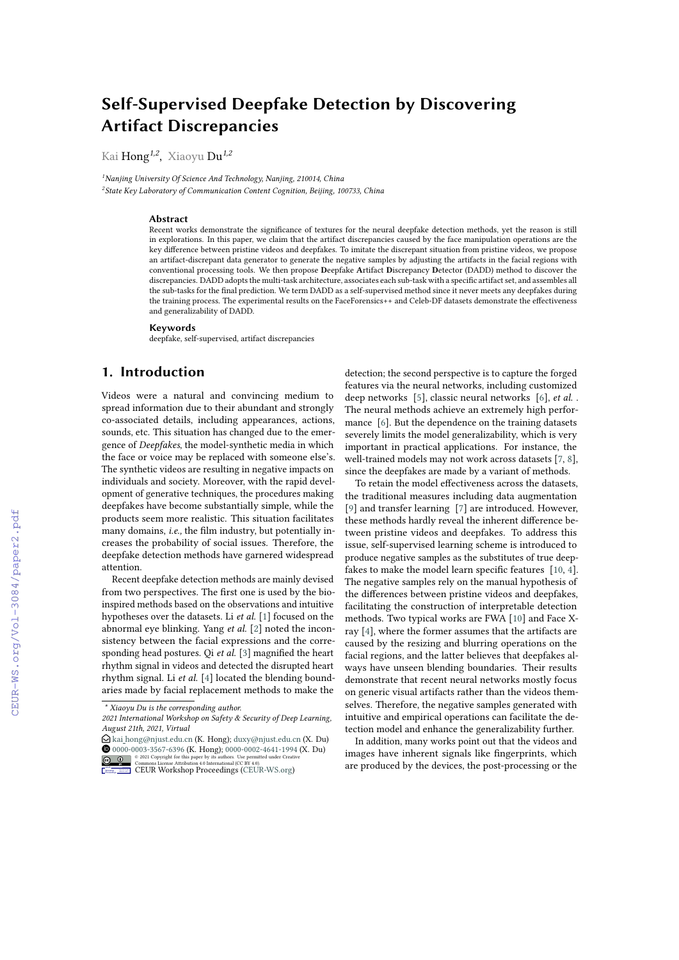# **Self-Supervised Deepfake Detection by Discovering Artifact Discrepancies**

Kai Hong*1,2* , Xiaoyu Du*1,2*

*<sup>1</sup>Nanjing University Of Science And Technology, Nanjing, 210014, China 2 State Key Laboratory of Communication Content Cognition, Beijing, 100733, China*

#### **Abstract**

Recent works demonstrate the signifcance of textures for the neural deepfake detection methods, yet the reason is still in explorations. In this paper, we claim that the artifact discrepancies caused by the face manipulation operations are the key diference between pristine videos and deepfakes. To imitate the discrepant situation from pristine videos, we propose an artifact-discrepant data generator to generate the negative samples by adjusting the artifacts in the facial regions with conventional processing tools. We then propose **D**eepfake **A**rtifact **D**iscrepancy **D**etector (DADD) method to discover the discrepancies. DADD adopts the multi-task architecture, associates each sub-task with a specifc artifact set, and assembles all the sub-tasks for the fnal prediction. We term DADD as a self-supervised method since it never meets any deepfakes during the training process. The experimental results on the FaceForensics++ and Celeb-DF datasets demonstrate the effectiveness and generalizability of DADD.

#### **Keywords**

deepfake, self-supervised, artifact discrepancies

# **1. Introduction**

Videos were a natural and convincing medium to spread information due to their abundant and strongly co-associated details, including appearances, actions, sounds, etc. This situation has changed due to the emergence of *Deepfakes*, the model-synthetic media in which the face or voice may be replaced with someone else's. The synthetic videos are resulting in negative impacts on individuals and society. Moreover, with the rapid development of generative techniques, the procedures making deepfakes have become substantially simple, while the products seem more realistic. This situation facilitates many domains, *i.e.,* the flm industry, but potentially increases the probability of social issues. Therefore, the deepfake detection methods have garnered widespread attention.

Recent deepfake detection methods are mainly devised from two perspectives. The frst one is used by the bioinspired methods based on the observations and intuitive hypotheses over the datasets. Li *et al.* [\[1\]](#page--1-0) focused on the abnormal eye blinking. Yang *et al.* [\[2\]](#page--1-1) noted the inconsistency between the facial expressions and the corresponding head postures. Qi *et al.* [\[3\]](#page--1-2) magnifed the heart rhythm signal in videos and detected the disrupted heart rhythm signal. Li *et al.* [\[4\]](#page--1-3) located the blending boundaries made by facial replacement methods to make the

**EDURY CONSECUTE:** Commons License Attribution 4.0 License and [CEUR](https://creativecommons.org/licenses/by/4.0)Y Commons License Attribution 4.0 License Attributional CEURY 4.0 License Attribution 4.0 License Attribution 4.0 License CEURY CONSECUTE CEURY CONSECUTE C

detection; the second perspective is to capture the forged features via the neural networks, including customized deep networks [\[5\]](#page--1-4), classic neural networks [\[6\]](#page--1-5), *et al.* . The neural methods achieve an extremely high performance [\[6\]](#page--1-5). But the dependence on the training datasets severely limits the model generalizability, which is very important in practical applications. For instance, the well-trained models may not work across datasets [\[7,](#page--1-6) [8\]](#page--1-7), since the deepfakes are made by a variant of methods.

To retain the model efectiveness across the datasets, the traditional measures including data augmentation [\[9\]](#page--1-8) and transfer learning [\[7\]](#page--1-6) are introduced. However, these methods hardly reveal the inherent diference between pristine videos and deepfakes. To address this issue, self-supervised learning scheme is introduced to produce negative samples as the substitutes of true deep-fakes to make the model learn specific features [\[10,](#page--1-9) [4\]](#page--1-3). The negative samples rely on the manual hypothesis of the diferences between pristine videos and deepfakes, facilitating the construction of interpretable detection methods. Two typical works are FWA [\[10\]](#page--1-9) and Face Xray [\[4\]](#page--1-3), where the former assumes that the artifacts are caused by the resizing and blurring operations on the facial regions, and the latter believes that deepfakes always have unseen blending boundaries. Their results demonstrate that recent neural networks mostly focus on generic visual artifacts rather than the videos themselves. Therefore, the negative samples generated with intuitive and empirical operations can facilitate the detection model and enhance the generalizability further.

In addition, many works point out that the videos and images have inherent signals like fngerprints, which are produced by the devices, the post-processing or the

*<sup>\*</sup> Xiaoyu Du is the corresponding author.*

*<sup>2021</sup> International Workshop on Safety & Security of Deep Learning, August 21th, 2021, Virtual*

 $\bigcirc$  kai [hong@njust.edu.cn](mailto:kai\protect \relax $\@@underline {\hbox { }}\mathsurround \z@ $\relax hong@njust.edu.cn) (K. Hong); [duxy@njust.edu.cn](mailto:duxy@njust.edu.cn) (X. Du) **1** [0000-0003-3567-6396](https://orcid.org/0000-0003-3567-6396) (K. Hong); [0000-0002-4641-1994](https://orcid.org/0000-0002-4641-1994) (X. Du)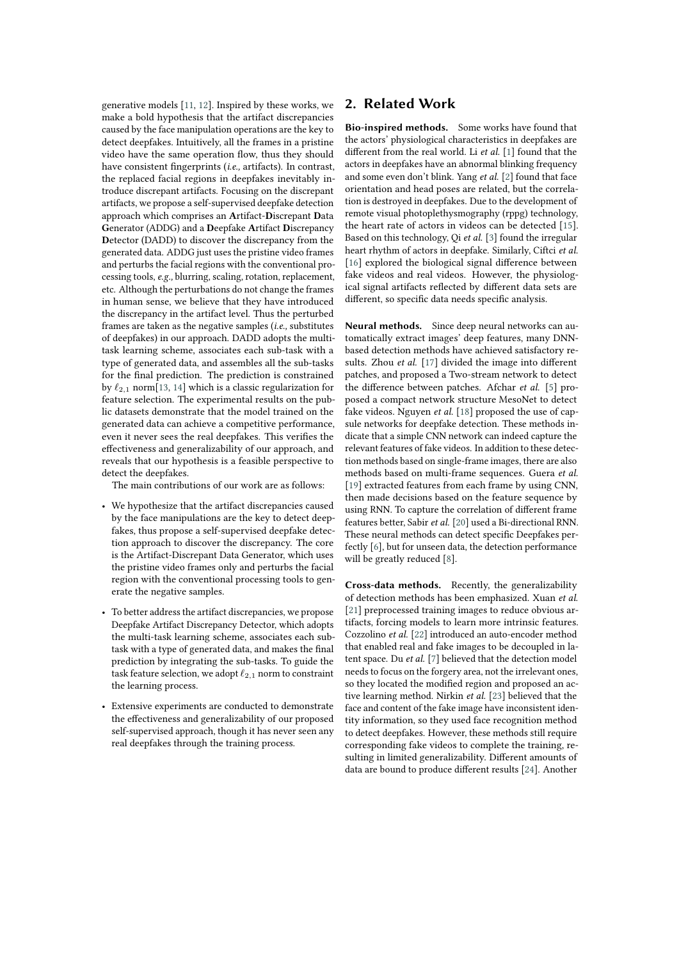generative models [\[11,](#page-7-0) [12\]](#page-7-1). Inspired by these works, we make a bold hypothesis that the artifact discrepancies caused by the face manipulation operations are the key to detect deepfakes. Intuitively, all the frames in a pristine video have the same operation flow, thus they should have consistent fngerprints (*i.e.,* artifacts). In contrast, the replaced facial regions in deepfakes inevitably introduce discrepant artifacts. Focusing on the discrepant artifacts, we propose a self-supervised deepfake detection approach which comprises an **A**rtifact-**D**iscrepant **D**ata **G**enerator (ADDG) and a **D**eepfake **A**rtifact **D**iscrepancy **D**etector (DADD) to discover the discrepancy from the generated data. ADDG just uses the pristine video frames and perturbs the facial regions with the conventional processing tools, *e.g.,* blurring, scaling, rotation, replacement, etc. Although the perturbations do not change the frames in human sense, we believe that they have introduced the discrepancy in the artifact level. Thus the perturbed frames are taken as the negative samples (*i.e.,* substitutes of deepfakes) in our approach. DADD adopts the multitask learning scheme, associates each sub-task with a type of generated data, and assembles all the sub-tasks for the fnal prediction. The prediction is constrained by  $\ell_{2,1}$  norm[\[13,](#page-7-2) [14\]](#page-7-3) which is a classic regularization for feature selection. The experimental results on the public datasets demonstrate that the model trained on the generated data can achieve a competitive performance, even it never sees the real deepfakes. This verifes the efectiveness and generalizability of our approach, and reveals that our hypothesis is a feasible perspective to detect the deepfakes.

The main contributions of our work are as follows:

- We hypothesize that the artifact discrepancies caused by the face manipulations are the key to detect deepfakes, thus propose a self-supervised deepfake detection approach to discover the discrepancy. The core is the Artifact-Discrepant Data Generator, which uses the pristine video frames only and perturbs the facial region with the conventional processing tools to generate the negative samples.
- To better address the artifact discrepancies, we propose Deepfake Artifact Discrepancy Detector, which adopts the multi-task learning scheme, associates each subtask with a type of generated data, and makes the fnal prediction by integrating the sub-tasks. To guide the task feature selection, we adopt  $\ell_{2,1}$  norm to constraint the learning process.
- Extensive experiments are conducted to demonstrate the efectiveness and generalizability of our proposed self-supervised approach, though it has never seen any real deepfakes through the training process.

## **2. Related Work**

**Bio-inspired methods.** Some works have found that the actors' physiological characteristics in deepfakes are diferent from the real world. Li *et al.* [\[1\]](#page-7-4) found that the actors in deepfakes have an abnormal blinking frequency and some even don't blink. Yang *et al.* [\[2\]](#page-7-5) found that face orientation and head poses are related, but the correlation is destroyed in deepfakes. Due to the development of remote visual photoplethysmography (rppg) technology, the heart rate of actors in videos can be detected [\[15\]](#page-7-6). Based on this technology, Qi *et al.* [\[3\]](#page-7-7) found the irregular heart rhythm of actors in deepfake. Similarly, Ciftci *et al.* [\[16\]](#page-7-8) explored the biological signal difference between fake videos and real videos. However, the physiological signal artifacts refected by diferent data sets are diferent, so specifc data needs specifc analysis.

**Neural methods.** Since deep neural networks can automatically extract images' deep features, many DNNbased detection methods have achieved satisfactory results. Zhou *et al.* [\[17\]](#page-7-9) divided the image into different patches, and proposed a Two-stream network to detect the diference between patches. Afchar *et al.* [\[5\]](#page-7-10) proposed a compact network structure MesoNet to detect fake videos. Nguyen *et al.* [\[18\]](#page-7-11) proposed the use of capsule networks for deepfake detection. These methods indicate that a simple CNN network can indeed capture the relevant features of fake videos. In addition to these detection methods based on single-frame images, there are also methods based on multi-frame sequences. Guera *et al.* [\[19\]](#page-7-12) extracted features from each frame by using CNN, then made decisions based on the feature sequence by using RNN. To capture the correlation of diferent frame features better, Sabir *et al.* [\[20\]](#page-7-13) used a Bi-directional RNN. These neural methods can detect specifc Deepfakes perfectly [\[6\]](#page-7-14), but for unseen data, the detection performance will be greatly reduced [\[8\]](#page-7-15).

**Cross-data methods.** Recently, the generalizability of detection methods has been emphasized. Xuan *et al.* [\[21\]](#page-7-16) preprocessed training images to reduce obvious artifacts, forcing models to learn more intrinsic features. Cozzolino *et al.* [\[22\]](#page-7-17) introduced an auto-encoder method that enabled real and fake images to be decoupled in latent space. Du *et al.* [\[7\]](#page-7-18) believed that the detection model needs to focus on the forgery area, not the irrelevant ones, so they located the modifed region and proposed an active learning method. Nirkin *et al.* [\[23\]](#page-7-19) believed that the face and content of the fake image have inconsistent identity information, so they used face recognition method to detect deepfakes. However, these methods still require corresponding fake videos to complete the training, resulting in limited generalizability. Diferent amounts of data are bound to produce diferent results [\[24\]](#page-7-20). Another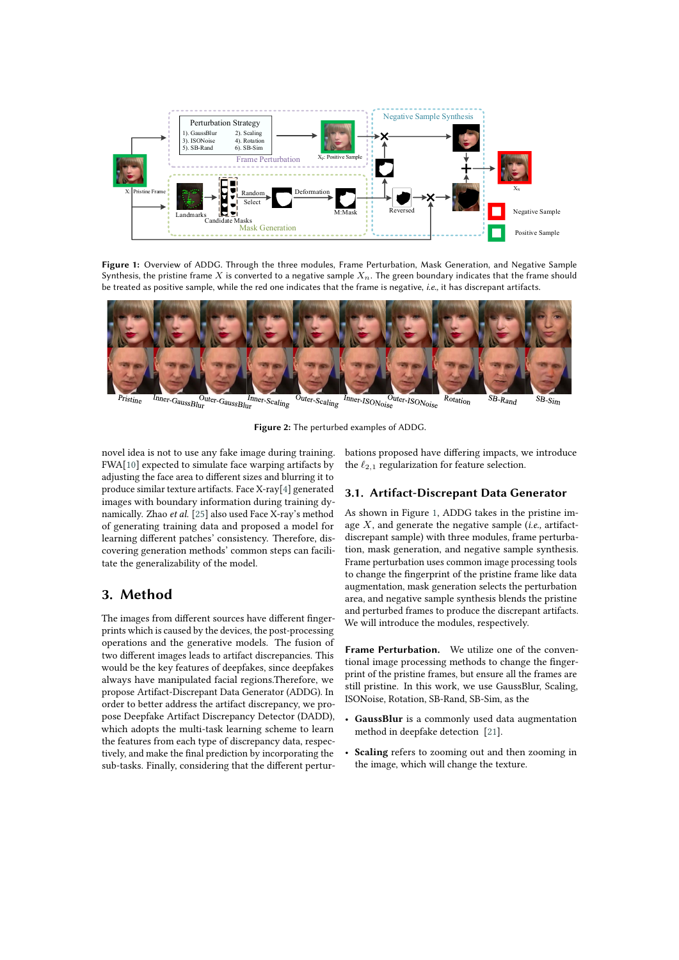

**Figure 1:** Overview of ADDG. Through the three modules, Frame Perturbation, Mask Generation, and Negative Sample Synthesis, the pristine frame X is converted to a negative sample  $X_n$ . The green boundary indicates that the frame should be treated as positive sample, while the red one indicates that the frame is negative, *i.e.,* it has discrepant artifacts.



 $I_{\text{nner-GaussBlur}}$  $\overline{O}_{\text{uter-Scaling}}$ 

<span id="page-2-0"></span>**Figure 2:** The perturbed examples of ADDG.

novel idea is not to use any fake image during training. FWA[\[10\]](#page-7-21) expected to simulate face warping artifacts by adjusting the face area to diferent sizes and blurring it to produce similar texture artifacts. Face X-ray[\[4\]](#page-7-22) generated images with boundary information during training dynamically. Zhao *et al.* [\[25\]](#page-7-23) also used Face X-ray's method of generating training data and proposed a model for learning diferent patches' consistency. Therefore, discovering generation methods' common steps can facilitate the generalizability of the model.

### **3. Method**

The images from diferent sources have diferent fngerprints which is caused by the devices, the post-processing operations and the generative models. The fusion of two diferent images leads to artifact discrepancies. This would be the key features of deepfakes, since deepfakes always have manipulated facial regions.Therefore, we propose Artifact-Discrepant Data Generator (ADDG). In order to better address the artifact discrepancy, we propose Deepfake Artifact Discrepancy Detector (DADD), which adopts the multi-task learning scheme to learn the features from each type of discrepancy data, respectively, and make the fnal prediction by incorporating the sub-tasks. Finally, considering that the diferent pertur<span id="page-2-1"></span>bations proposed have difering impacts, we introduce the  $\ell_{2,1}$  regularization for feature selection.

#### **3.1. Artifact-Discrepant Data Generator**

As shown in Figure [1,](#page-2-0) ADDG takes in the pristine image  $X$ , and generate the negative sample (*i.e.*, artifactdiscrepant sample) with three modules, frame perturbation, mask generation, and negative sample synthesis. Frame perturbation uses common image processing tools to change the fngerprint of the pristine frame like data augmentation, mask generation selects the perturbation area, and negative sample synthesis blends the pristine and perturbed frames to produce the discrepant artifacts. We will introduce the modules, respectively.

**Frame Perturbation.** We utilize one of the conventional image processing methods to change the fngerprint of the pristine frames, but ensure all the frames are still pristine. In this work, we use GaussBlur, Scaling, ISONoise, Rotation, SB-Rand, SB-Sim, as the

- **GaussBlur** is a commonly used data augmentation method in deepfake detection [\[21\]](#page-7-16).
- Scaling refers to zooming out and then zooming in the image, which will change the texture.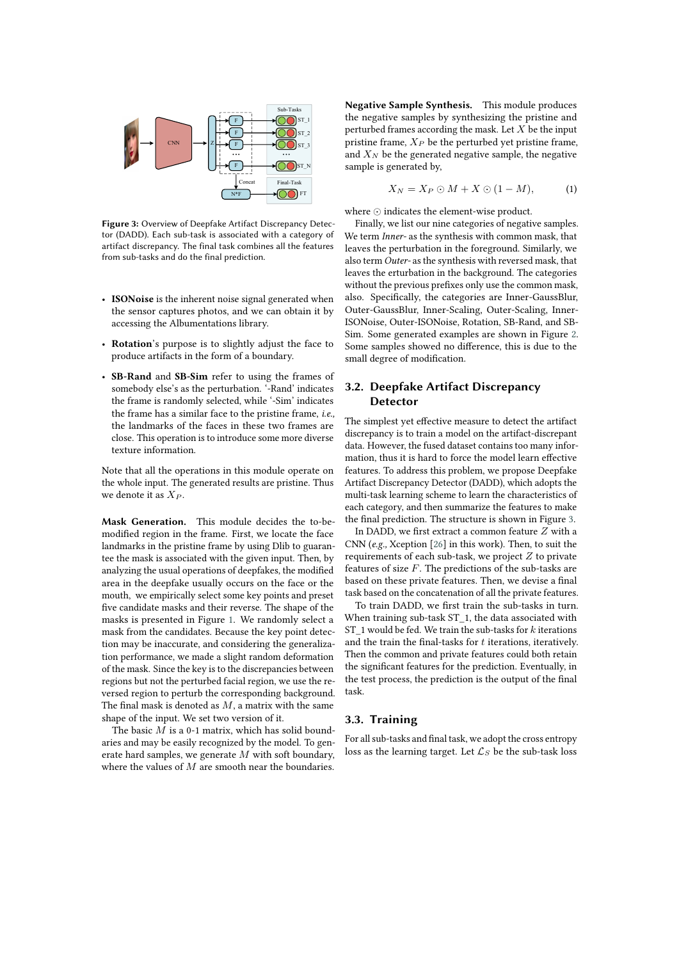

<span id="page-3-0"></span>**Figure 3:** Overview of Deepfake Artifact Discrepancy Detector (DADD). Each sub-task is associated with a category of artifact discrepancy. The final task combines all the features from sub-tasks and do the final prediction.

- **ISONoise** is the inherent noise signal generated when the sensor captures photos, and we can obtain it by accessing the Albumentations library.
- **Rotation**'s purpose is to slightly adjust the face to produce artifacts in the form of a boundary.
- **SB-Rand** and **SB-Sim** refer to using the frames of somebody else's as the perturbation. '-Rand' indicates the frame is randomly selected, while '-Sim' indicates the frame has a similar face to the pristine frame, *i.e.,* the landmarks of the faces in these two frames are close. This operation is to introduce some more diverse texture information.

Note that all the operations in this module operate on the whole input. The generated results are pristine. Thus we denote it as  $X_P$ .

**Mask Generation.** This module decides the to-bemodifed region in the frame. First, we locate the face landmarks in the pristine frame by using Dlib to guarantee the mask is associated with the given input. Then, by analyzing the usual operations of deepfakes, the modifed area in the deepfake usually occurs on the face or the mouth, we empirically select some key points and preset fve candidate masks and their reverse. The shape of the masks is presented in Figure [1.](#page-2-0) We randomly select a mask from the candidates. Because the key point detection may be inaccurate, and considering the generalization performance, we made a slight random deformation of the mask. Since the key is to the discrepancies between regions but not the perturbed facial region, we use the reversed region to perturb the corresponding background. The final mask is denoted as  $M$ , a matrix with the same shape of the input. We set two version of it.

The basic  $M$  is a 0-1 matrix, which has solid boundaries and may be easily recognized by the model. To generate hard samples, we generate  $M$  with soft boundary, where the values of  $M$  are smooth near the boundaries.

**Negative Sample Synthesis.** This module produces the negative samples by synthesizing the pristine and perturbed frames according the mask. Let  $X$  be the input pristine frame,  $\mathcal{X}_P$  be the perturbed yet pristine frame, and  $X_N$  be the generated negative sample, the negative sample is generated by,

$$
X_N = X_P \odot M + X \odot (1 - M), \tag{1}
$$

where ⊙ indicates the element-wise product.

Finally, we list our nine categories of negative samples. We term *Inner-* as the synthesis with common mask, that leaves the perturbation in the foreground. Similarly, we also term *Outer-* as the synthesis with reversed mask, that leaves the erturbation in the background. The categories without the previous prefxes only use the common mask, also. Specifcally, the categories are Inner-GaussBlur, Outer-GaussBlur, Inner-Scaling, Outer-Scaling, Inner-ISONoise, Outer-ISONoise, Rotation, SB-Rand, and SB-Sim. Some generated examples are shown in Figure [2.](#page-2-1) Some samples showed no diference, this is due to the small degree of modifcation.

### **3.2. Deepfake Artifact Discrepancy Detector**

The simplest yet efective measure to detect the artifact discrepancy is to train a model on the artifact-discrepant data. However, the fused dataset contains too many information, thus it is hard to force the model learn efective features. To address this problem, we propose Deepfake Artifact Discrepancy Detector (DADD), which adopts the multi-task learning scheme to learn the characteristics of each category, and then summarize the features to make the fnal prediction. The structure is shown in Figure [3.](#page-3-0)

In DADD, we first extract a common feature  $Z$  with a CNN (*e.g.,* Xception [\[26\]](#page-8-0) in this work). Then, to suit the requirements of each sub-task, we project  $Z$  to private features of size  $F$ . The predictions of the sub-tasks are based on these private features. Then, we devise a fnal task based on the concatenation of all the private features.

To train DADD, we frst train the sub-tasks in turn. When training sub-task ST\_1, the data associated with ST\_1 would be fed. We train the sub-tasks for  $k$  iterations and the train the final-tasks for  $t$  iterations, iteratively. Then the common and private features could both retain the signifcant features for the prediction. Eventually, in the test process, the prediction is the output of the fnal task.

#### **3.3. Training**

For all sub-tasks and fnal task, we adopt the cross entropy loss as the learning target. Let  $\mathcal{L}_S$  be the sub-task loss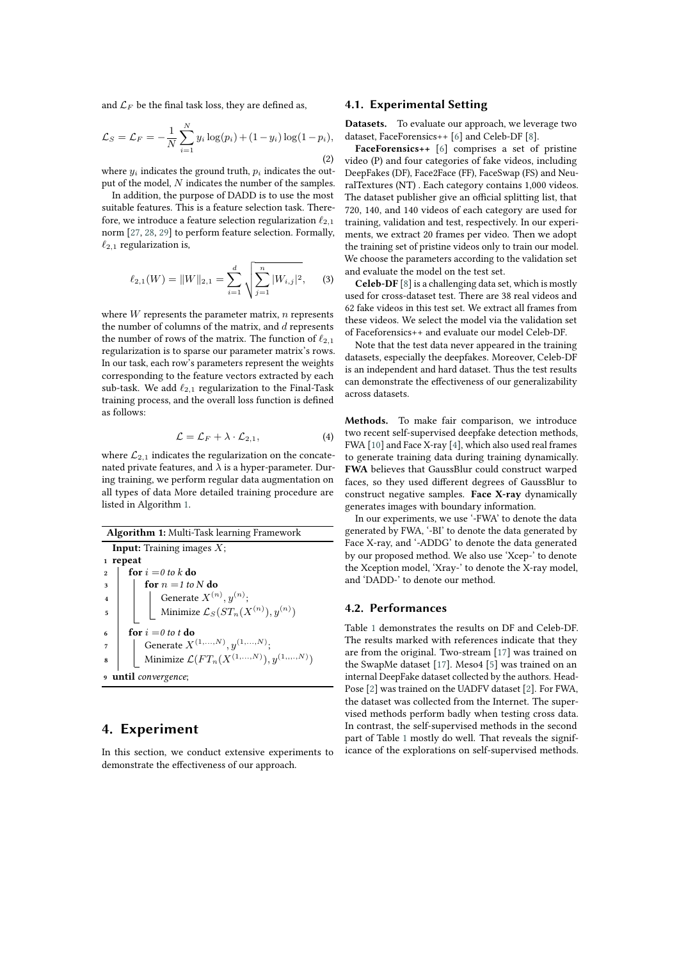and  $\mathcal{L}_F$  be the final task loss, they are defined as,

$$
\mathcal{L}_S = \mathcal{L}_F = -\frac{1}{N} \sum_{i=1}^{N} y_i \log(p_i) + (1 - y_i) \log(1 - p_i),
$$
\n(2)

where  $y_i$  indicates the ground truth,  $p_i$  indicates the output of the model,  $N$  indicates the number of the samples.

In addition, the purpose of DADD is to use the most suitable features. This is a feature selection task. Therefore, we introduce a feature selection regularization  $\ell_{2,1}$ norm [\[27,](#page-8-1) [28,](#page-8-2) [29\]](#page-8-3) to perform feature selection. Formally,  $\ell_{2,1}$  regularization is,

$$
\ell_{2,1}(W) = ||W||_{2,1} = \sum_{i=1}^{d} \sqrt{\sum_{j=1}^{n} |W_{i,j}|^2},
$$
 (3)

where  $W$  represents the parameter matrix,  $n$  represents the number of columns of the matrix, and  $d$  represents the number of rows of the matrix. The function of  $\ell_{2,1}$ regularization is to sparse our parameter matrix's rows. In our task, each row's parameters represent the weights corresponding to the feature vectors extracted by each sub-task. We add  $\ell_{2,1}$  regularization to the Final-Task training process, and the overall loss function is defned as follows:

$$
\mathcal{L} = \mathcal{L}_F + \lambda \cdot \mathcal{L}_{2,1},\tag{4}
$$

where  $\mathcal{L}_{2,1}$  indicates the regularization on the concatenated private features, and  $\lambda$  is a hyper-parameter. During training, we perform regular data augmentation on all types of data More detailed training procedure are listed in Algorithm [1.](#page-4-0)

<span id="page-4-0"></span>**Algorithm 1:** Multi-Task learning Framework **Input:** Training images  $X$ ; **<sup>1</sup> repeat**  $2 \int$  **for**  $i = 0$  to k **do**  $\mathbf{a}$  **for**  $n = 1$  to N **do 4**  $\left| \quad \right|$  Generate  $X^{(n)}, y^{(n)}$ ; 5 Minimize  ${\cal L}_S(ST_n(X^{(n)}),y^{(n)})$  $\bf{f}$  **for**  $i = 0$  to t **do**  $\eta$  | Generate  $X^{(1,...,N)}, y^{(1,...,N)};$ **8** Minimize  $\mathcal{L}(FT_n(X^{(1,...,N)}), y^{(1,...,N)})$ **<sup>9</sup> until** *convergence*;

# **4. Experiment**

In this section, we conduct extensive experiments to demonstrate the efectiveness of our approach.

#### **4.1. Experimental Setting**

**Datasets.** To evaluate our approach, we leverage two dataset, FaceForensics++ [\[6\]](#page-7-14) and Celeb-DF [\[8\]](#page-7-15).

**FaceForensics++** [\[6\]](#page-7-14) comprises a set of pristine video (P) and four categories of fake videos, including DeepFakes (DF), Face2Face (FF), FaceSwap (FS) and NeuralTextures (NT) . Each category contains 1,000 videos. The dataset publisher give an official splitting list, that 720, 140, and 140 videos of each category are used for training, validation and test, respectively. In our experiments, we extract 20 frames per video. Then we adopt the training set of pristine videos only to train our model. We choose the parameters according to the validation set and evaluate the model on the test set.

**Celeb-DF** [\[8\]](#page-7-15) is a challenging data set, which is mostly used for cross-dataset test. There are 38 real videos and 62 fake videos in this test set. We extract all frames from these videos. We select the model via the validation set of Faceforensics++ and evaluate our model Celeb-DF.

Note that the test data never appeared in the training datasets, especially the deepfakes. Moreover, Celeb-DF is an independent and hard dataset. Thus the test results can demonstrate the efectiveness of our generalizability across datasets.

**Methods.** To make fair comparison, we introduce two recent self-supervised deepfake detection methods, FWA [\[10\]](#page-7-21) and Face X-ray [\[4\]](#page-7-22), which also used real frames to generate training data during training dynamically. **FWA** believes that GaussBlur could construct warped faces, so they used diferent degrees of GaussBlur to construct negative samples. **Face X-ray** dynamically generates images with boundary information.

In our experiments, we use '-FWA' to denote the data generated by FWA, '-BI' to denote the data generated by Face X-ray, and '-ADDG' to denote the data generated by our proposed method. We also use 'Xcep-' to denote the Xception model, 'Xray-' to denote the X-ray model, and 'DADD-' to denote our method.

#### **4.2. Performances**

Table [1](#page-5-0) demonstrates the results on DF and Celeb-DF. The results marked with references indicate that they are from the original. Two-stream [\[17\]](#page-7-9) was trained on the SwapMe dataset [\[17\]](#page-7-9). Meso4 [\[5\]](#page-7-10) was trained on an internal DeepFake dataset collected by the authors. Head-Pose [\[2\]](#page-7-5) was trained on the UADFV dataset [\[2\]](#page-7-5). For FWA, the dataset was collected from the Internet. The supervised methods perform badly when testing cross data. In contrast, the self-supervised methods in the second part of Table [1](#page-5-0) mostly do well. That reveals the significance of the explorations on self-supervised methods.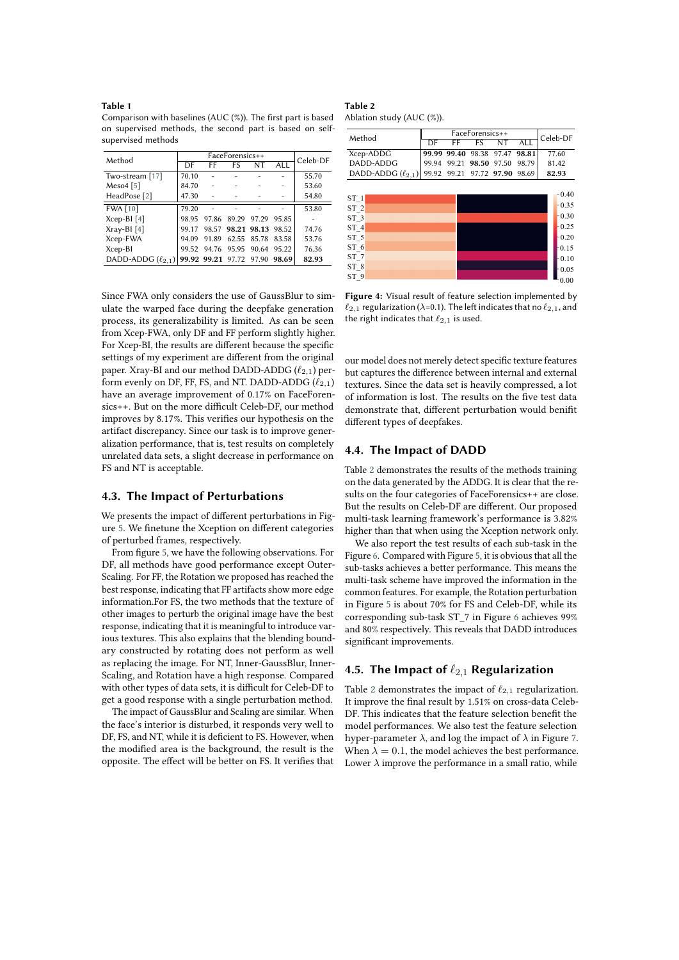#### <span id="page-5-0"></span>**Table 1**

Comparison with baselines (AUC (%)). The first part is based on supervised methods, the second part is based on selfsupervised methods

| Method                   |       | Celeb-DF                |                         |       |            |       |
|--------------------------|-------|-------------------------|-------------------------|-------|------------|-------|
|                          | DF    | FF                      | FS                      | NΤ    | <b>ALL</b> |       |
| Two-stream [17]          | 70.10 |                         |                         |       |            | 55.70 |
| Meso $4$ [5]             | 84.70 |                         |                         |       |            | 53.60 |
| HeadPose [2]             | 47.30 |                         |                         |       |            | 54.80 |
| <b>FWA [10]</b>          | 79.20 |                         |                         |       |            | 53.80 |
| $Xcep-BI[4]$             | 98.95 | 97.86                   | 89.29                   | 97.29 | 95.85      |       |
| $Xray-BI [4]$            | 99.17 |                         | 98.57 98.21 98.13 98.52 |       |            | 74.76 |
| Xcep-FWA                 | 94.09 | 91.89                   | 62.55                   | 85.78 | 83.58      | 53.76 |
| Xcep-BI                  | 99.52 | 94.76 95.95 90.64       |                         |       | 95.22      | 76.36 |
| DADD-ADDG $(\ell_{2.1})$ |       | 99.92 99.21 97.72 97.90 |                         |       | 98.69      | 82.93 |
|                          |       |                         |                         |       |            |       |

Since FWA only considers the use of GaussBlur to simulate the warped face during the deepfake generation process, its generalizability is limited. As can be seen from Xcep-FWA, only DF and FF perform slightly higher. For Xcep-BI, the results are diferent because the specifc settings of my experiment are diferent from the original paper. Xray-BI and our method DADD-ADDG  $(\ell_{2,1})$  perform evenly on DF, FF, FS, and NT. DADD-ADDG  $(\ell_{2,1})$ have an average improvement of 0.17% on FaceForensics++. But on the more difficult Celeb-DF, our method improves by 8.17%. This verifes our hypothesis on the artifact discrepancy. Since our task is to improve generalization performance, that is, test results on completely unrelated data sets, a slight decrease in performance on FS and NT is acceptable.

#### **4.3. The Impact of Perturbations**

We presents the impact of diferent perturbations in Figure [5.](#page-6-0) We fnetune the Xception on diferent categories of perturbed frames, respectively.

From fgure [5,](#page-6-0) we have the following observations. For DF, all methods have good performance except Outer-Scaling. For FF, the Rotation we proposed has reached the best response, indicating that FF artifacts show more edge information.For FS, the two methods that the texture of other images to perturb the original image have the best response, indicating that it is meaningful to introduce various textures. This also explains that the blending boundary constructed by rotating does not perform as well as replacing the image. For NT, Inner-GaussBlur, Inner-Scaling, and Rotation have a high response. Compared with other types of data sets, it is difficult for Celeb-DF to get a good response with a single perturbation method.

The impact of GaussBlur and Scaling are similar. When the face's interior is disturbed, it responds very well to DF, FS, and NT, while it is deficient to FS. However, when the modifed area is the background, the result is the opposite. The efect will be better on FS. It verifes that

#### <span id="page-5-1"></span>**Table 2** Ablation study (AUC (%)).

| Method                                                 |       | Celeb-DF |             |       |            |         |
|--------------------------------------------------------|-------|----------|-------------|-------|------------|---------|
|                                                        | DF    | FF       | FS          | NT    | <b>ALL</b> |         |
| Xcep-ADDG                                              | 99.99 | 99.40    | 98.38       | 97.47 | 98.81      | 77.60   |
| DADD-ADDG                                              | 99.94 | 99.21    | 98.50 97.50 |       | 98.79      | 81.42   |
| DADD-ADDG $(\ell_{2,1})$ 99.92 99.21 97.72 97.90 98.69 |       |          |             |       |            | 82.93   |
|                                                        |       |          |             |       |            |         |
| ST <sub>1</sub>                                        |       |          |             |       |            | $-0.40$ |
| ST <sub>2</sub>                                        |       |          |             |       |            | $-0.35$ |
| ST <sub>3</sub>                                        |       |          |             |       |            | $-0.30$ |
| ST <sub>4</sub>                                        |       |          |             |       |            | $-0.25$ |
| ST <sub>5</sub>                                        |       |          |             |       |            | $-0.20$ |
| ST 6                                                   |       |          |             |       |            | $-0.15$ |
| ST <sub>7</sub>                                        |       |          |             |       |            | $-0.10$ |
| ST 8                                                   |       |          |             |       |            | - 0.05  |
| ST <sub>9</sub>                                        |       |          |             |       |            | 0.00    |

<span id="page-5-2"></span>**Figure 4:** Visual result of feature selection implemented by  $\ell_{2,1}$  regularization ( $\lambda$ =0.1). The left indicates that no  $\ell_{2,1}$ , and the right indicates that  $\ell_{2,1}$  is used.

 $L_{0.00}^{0.05}$ 

our model does not merely detect specifc texture features but captures the diference between internal and external textures. Since the data set is heavily compressed, a lot of information is lost. The results on the fve test data demonstrate that, diferent perturbation would benift diferent types of deepfakes.

#### **4.4. The Impact of DADD**

Table [2](#page-5-1) demonstrates the results of the methods training on the data generated by the ADDG. It is clear that the results on the four categories of FaceForensics++ are close. But the results on Celeb-DF are diferent. Our proposed multi-task learning framework's performance is 3.82% higher than that when using the Xception network only.

We also report the test results of each sub-task in the Figure [6.](#page-6-1) Compared with Figure [5,](#page-6-0) it is obvious that all the sub-tasks achieves a better performance. This means the multi-task scheme have improved the information in the common features. For example, the Rotation perturbation in Figure [5](#page-6-0) is about 70% for FS and Celeb-DF, while its corresponding sub-task ST\_7 in Figure [6](#page-6-1) achieves 99% and 80% respectively. This reveals that DADD introduces signifcant improvements.

# **4.5. The Impact of** ℓ2,<sup>1</sup> **Regularization**

Table [2](#page-5-1) demonstrates the impact of  $\ell_{2,1}$  regularization. It improve the fnal result by 1.51% on cross-data Celeb-DF. This indicates that the feature selection beneft the model performances. We also test the feature selection hyper-parameter  $\lambda$ , and log the impact of  $\lambda$  in Figure [7.](#page-6-2) When  $\lambda = 0.1$ , the model achieves the best performance. Lower  $\lambda$  improve the performance in a small ratio, while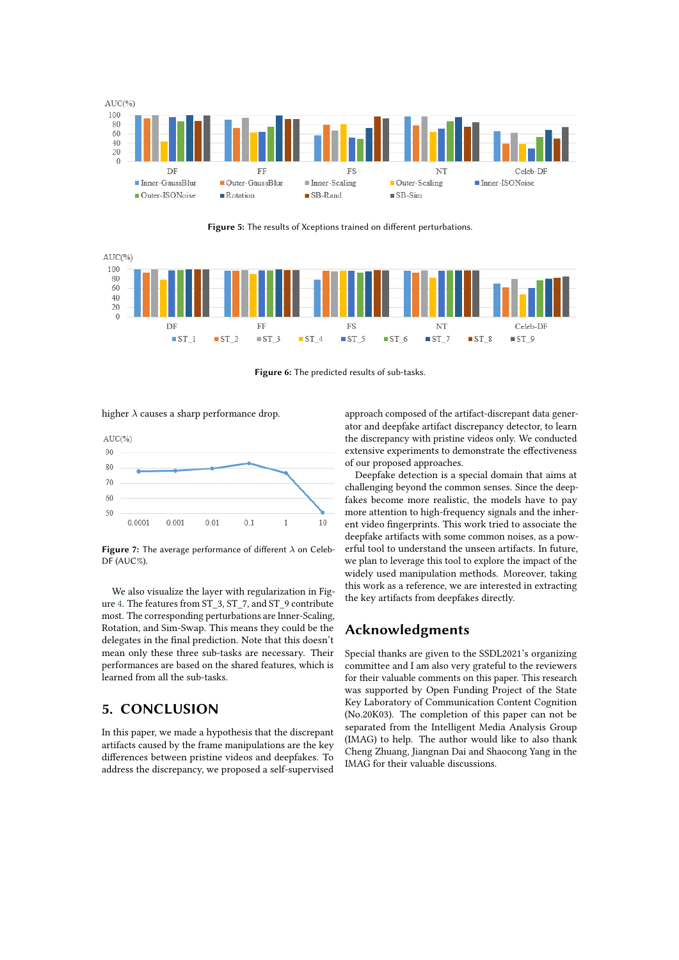

<span id="page-6-0"></span>**Figure 5:** The results of Xceptions trained on diferent perturbations.



**Figure 6:** The predicted results of sub-tasks.

higher  $\lambda$  causes a sharp performance drop.



<span id="page-6-2"></span>Figure 7: The average performance of different  $\lambda$  on Celeb-DF (AUC%).

We also visualize the layer with regularization in Figure [4.](#page-5-2) The features from ST\_3, ST\_7, and ST\_9 contribute most. The corresponding perturbations are Inner-Scaling, Rotation, and Sim-Swap. This means they could be the delegates in the fnal prediction. Note that this doesn't mean only these three sub-tasks are necessary. Their performances are based on the shared features, which is learned from all the sub-tasks.

# **5. CONCLUSION**

In this paper, we made a hypothesis that the discrepant artifacts caused by the frame manipulations are the key diferences between pristine videos and deepfakes. To address the discrepancy, we proposed a self-supervised

<span id="page-6-1"></span>approach composed of the artifact-discrepant data generator and deepfake artifact discrepancy detector, to learn the discrepancy with pristine videos only. We conducted extensive experiments to demonstrate the efectiveness of our proposed approaches.

Deepfake detection is a special domain that aims at challenging beyond the common senses. Since the deepfakes become more realistic, the models have to pay more attention to high-frequency signals and the inherent video fngerprints. This work tried to associate the deepfake artifacts with some common noises, as a powerful tool to understand the unseen artifacts. In future, we plan to leverage this tool to explore the impact of the widely used manipulation methods. Moreover, taking this work as a reference, we are interested in extracting the key artifacts from deepfakes directly.

### **Acknowledgments**

Special thanks are given to the SSDL2021's organizing committee and I am also very grateful to the reviewers for their valuable comments on this paper. This research was supported by Open Funding Project of the State Key Laboratory of Communication Content Cognition (No.20K03). The completion of this paper can not be separated from the Intelligent Media Analysis Group (IMAG) to help. The author would like to also thank Cheng Zhuang, Jiangnan Dai and Shaocong Yang in the IMAG for their valuable discussions.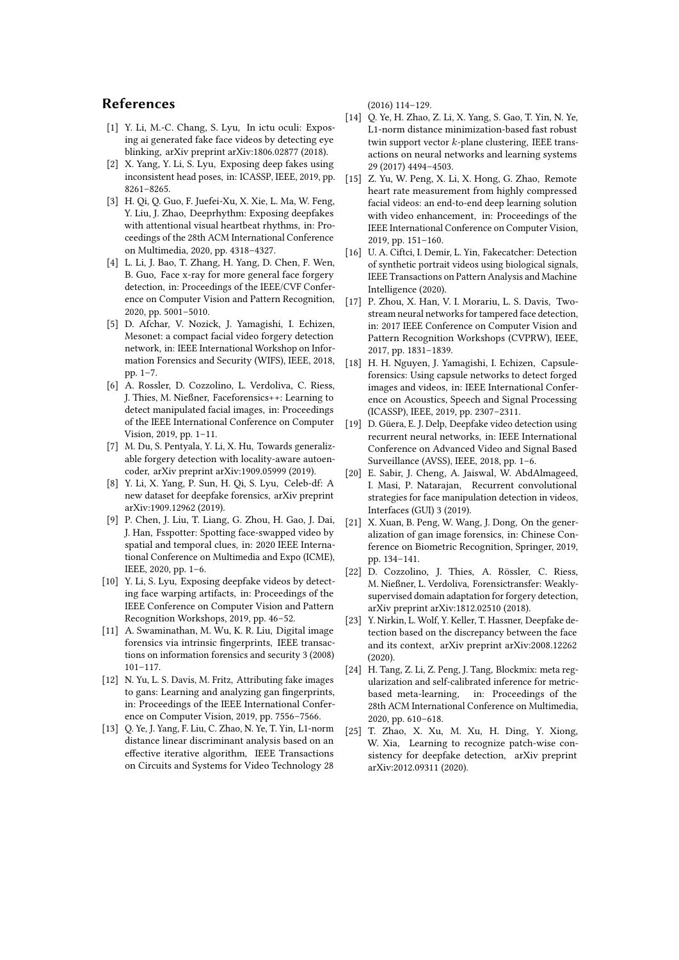### **References**

- <span id="page-7-4"></span>[1] Y. Li, M.-C. Chang, S. Lyu, In ictu oculi: Exposing ai generated fake face videos by detecting eye blinking, arXiv preprint arXiv:1806.02877 (2018).
- <span id="page-7-5"></span>[2] X. Yang, Y. Li, S. Lyu, Exposing deep fakes using inconsistent head poses, in: ICASSP, IEEE, 2019, pp. 8261–8265.
- <span id="page-7-7"></span>[3] H. Qi, Q. Guo, F. Juefei-Xu, X. Xie, L. Ma, W. Feng, Y. Liu, J. Zhao, Deeprhythm: Exposing deepfakes with attentional visual heartbeat rhythms, in: Proceedings of the 28th ACM International Conference on Multimedia, 2020, pp. 4318–4327.
- <span id="page-7-22"></span>[4] L. Li, J. Bao, T. Zhang, H. Yang, D. Chen, F. Wen, B. Guo, Face x-ray for more general face forgery detection, in: Proceedings of the IEEE/CVF Conference on Computer Vision and Pattern Recognition, 2020, pp. 5001–5010.
- <span id="page-7-10"></span>[5] D. Afchar, V. Nozick, J. Yamagishi, I. Echizen, Mesonet: a compact facial video forgery detection network, in: IEEE International Workshop on Information Forensics and Security (WIFS), IEEE, 2018, pp. 1–7.
- <span id="page-7-14"></span>[6] A. Rossler, D. Cozzolino, L. Verdoliva, C. Riess, J. Thies, M. Nießner, Faceforensics++: Learning to detect manipulated facial images, in: Proceedings of the IEEE International Conference on Computer Vision, 2019, pp. 1–11.
- <span id="page-7-18"></span>[7] M. Du, S. Pentyala, Y. Li, X. Hu, Towards generalizable forgery detection with locality-aware autoencoder, arXiv preprint arXiv:1909.05999 (2019).
- <span id="page-7-15"></span>[8] Y. Li, X. Yang, P. Sun, H. Qi, S. Lyu, Celeb-df: A new dataset for deepfake forensics, arXiv preprint arXiv:1909.12962 (2019).
- [9] P. Chen, J. Liu, T. Liang, G. Zhou, H. Gao, J. Dai, J. Han, Fsspotter: Spotting face-swapped video by spatial and temporal clues, in: 2020 IEEE International Conference on Multimedia and Expo (ICME), IEEE, 2020, pp. 1–6.
- <span id="page-7-21"></span>[10] Y. Li, S. Lyu, Exposing deepfake videos by detecting face warping artifacts, in: Proceedings of the IEEE Conference on Computer Vision and Pattern Recognition Workshops, 2019, pp. 46–52.
- <span id="page-7-0"></span>[11] A. Swaminathan, M. Wu, K. R. Liu, Digital image forensics via intrinsic fngerprints, IEEE transactions on information forensics and security 3 (2008) 101–117.
- <span id="page-7-1"></span>[12] N. Yu, L. S. Davis, M. Fritz, Attributing fake images to gans: Learning and analyzing gan fngerprints, in: Proceedings of the IEEE International Conference on Computer Vision, 2019, pp. 7556–7566.
- <span id="page-7-2"></span>[13] Q. Ye, J. Yang, F. Liu, C. Zhao, N. Ye, T. Yin, L1-norm distance linear discriminant analysis based on an efective iterative algorithm, IEEE Transactions on Circuits and Systems for Video Technology 28

(2016) 114–129.

- <span id="page-7-3"></span>[14] Q. Ye, H. Zhao, Z. Li, X. Yang, S. Gao, T. Yin, N. Ye, L1-norm distance minimization-based fast robust twin support vector  $k$ -plane clustering, IEEE transactions on neural networks and learning systems 29 (2017) 4494–4503.
- <span id="page-7-6"></span>[15] Z. Yu, W. Peng, X. Li, X. Hong, G. Zhao, Remote heart rate measurement from highly compressed facial videos: an end-to-end deep learning solution with video enhancement, in: Proceedings of the IEEE International Conference on Computer Vision, 2019, pp. 151–160.
- <span id="page-7-8"></span>[16] U. A. Ciftci, I. Demir, L. Yin, Fakecatcher: Detection of synthetic portrait videos using biological signals, IEEE Transactions on Pattern Analysis and Machine Intelligence (2020).
- <span id="page-7-9"></span>[17] P. Zhou, X. Han, V. I. Morariu, L. S. Davis, Twostream neural networks for tampered face detection, in: 2017 IEEE Conference on Computer Vision and Pattern Recognition Workshops (CVPRW), IEEE, 2017, pp. 1831–1839.
- <span id="page-7-11"></span>[18] H. H. Nguyen, J. Yamagishi, I. Echizen, Capsuleforensics: Using capsule networks to detect forged images and videos, in: IEEE International Conference on Acoustics, Speech and Signal Processing (ICASSP), IEEE, 2019, pp. 2307–2311.
- <span id="page-7-12"></span>[19] D. Güera, E. J. Delp, Deepfake video detection using recurrent neural networks, in: IEEE International Conference on Advanced Video and Signal Based Surveillance (AVSS), IEEE, 2018, pp. 1–6.
- <span id="page-7-13"></span>[20] E. Sabir, J. Cheng, A. Jaiswal, W. AbdAlmageed, I. Masi, P. Natarajan, Recurrent convolutional strategies for face manipulation detection in videos, Interfaces (GUI) 3 (2019).
- <span id="page-7-16"></span>[21] X. Xuan, B. Peng, W. Wang, J. Dong, On the generalization of gan image forensics, in: Chinese Conference on Biometric Recognition, Springer, 2019, pp. 134–141.
- <span id="page-7-17"></span>[22] D. Cozzolino, J. Thies, A. Rössler, C. Riess, M. Nießner, L. Verdoliva, Forensictransfer: Weaklysupervised domain adaptation for forgery detection, arXiv preprint arXiv:1812.02510 (2018).
- <span id="page-7-19"></span>[23] Y. Nirkin, L. Wolf, Y. Keller, T. Hassner, Deepfake detection based on the discrepancy between the face and its context, arXiv preprint arXiv:2008.12262  $(2020)$
- <span id="page-7-20"></span>[24] H. Tang, Z. Li, Z. Peng, J. Tang, Blockmix: meta regularization and self-calibrated inference for metricbased meta-learning, in: Proceedings of the 28th ACM International Conference on Multimedia, 2020, pp. 610–618.
- <span id="page-7-23"></span>[25] T. Zhao, X. Xu, M. Xu, H. Ding, Y. Xiong, W. Xia, Learning to recognize patch-wise consistency for deepfake detection, arXiv preprint arXiv:2012.09311 (2020).